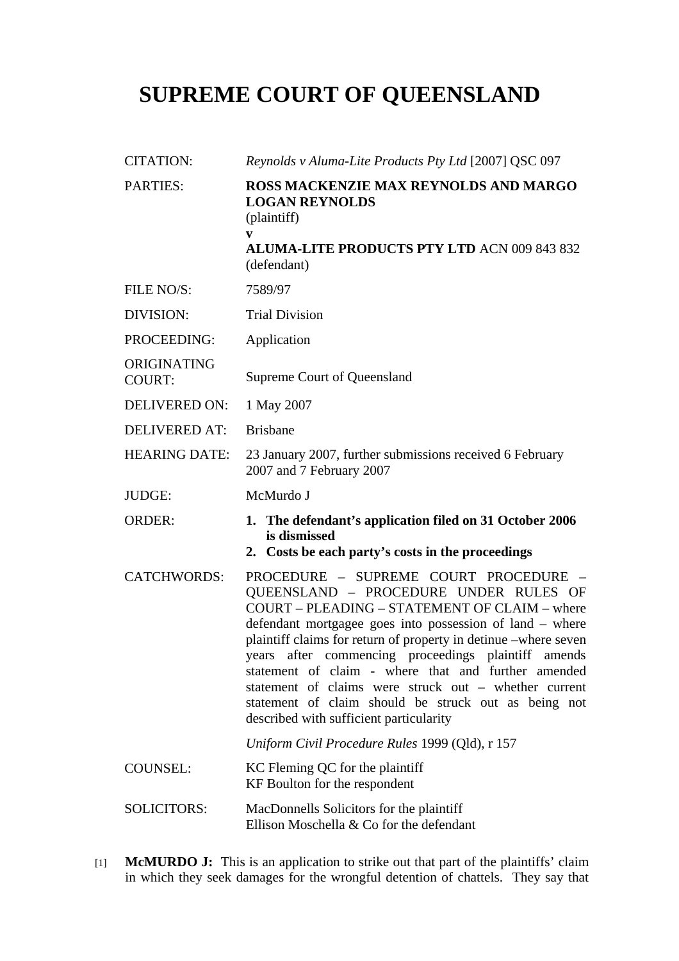## **SUPREME COURT OF QUEENSLAND**

| <b>CITATION:</b>             | Reynolds v Aluma-Lite Products Pty Ltd [2007] QSC 097                                                                                                                                                                                                                                                                                                                                                                                                                                                                                                      |
|------------------------------|------------------------------------------------------------------------------------------------------------------------------------------------------------------------------------------------------------------------------------------------------------------------------------------------------------------------------------------------------------------------------------------------------------------------------------------------------------------------------------------------------------------------------------------------------------|
| <b>PARTIES:</b>              | <b>ROSS MACKENZIE MAX REYNOLDS AND MARGO</b><br><b>LOGAN REYNOLDS</b><br>(plaintiff)<br>V<br><b>ALUMA-LITE PRODUCTS PTY LTD ACN 009 843 832</b>                                                                                                                                                                                                                                                                                                                                                                                                            |
| FILE NO/S:                   | (defendant)                                                                                                                                                                                                                                                                                                                                                                                                                                                                                                                                                |
|                              | 7589/97                                                                                                                                                                                                                                                                                                                                                                                                                                                                                                                                                    |
| DIVISION:                    | <b>Trial Division</b>                                                                                                                                                                                                                                                                                                                                                                                                                                                                                                                                      |
| PROCEEDING:                  | Application                                                                                                                                                                                                                                                                                                                                                                                                                                                                                                                                                |
| ORIGINATING<br><b>COURT:</b> | Supreme Court of Queensland                                                                                                                                                                                                                                                                                                                                                                                                                                                                                                                                |
| <b>DELIVERED ON:</b>         | 1 May 2007                                                                                                                                                                                                                                                                                                                                                                                                                                                                                                                                                 |
| <b>DELIVERED AT:</b>         | <b>Brisbane</b>                                                                                                                                                                                                                                                                                                                                                                                                                                                                                                                                            |
| <b>HEARING DATE:</b>         | 23 January 2007, further submissions received 6 February<br>2007 and 7 February 2007                                                                                                                                                                                                                                                                                                                                                                                                                                                                       |
| <b>JUDGE:</b>                | McMurdo J                                                                                                                                                                                                                                                                                                                                                                                                                                                                                                                                                  |
| <b>ORDER:</b>                | 1. The defendant's application filed on 31 October 2006<br>is dismissed<br>2. Costs be each party's costs in the proceedings                                                                                                                                                                                                                                                                                                                                                                                                                               |
| <b>CATCHWORDS:</b>           | PROCEDURE - SUPREME COURT PROCEDURE<br>$\hspace{0.1mm}$<br>QUEENSLAND - PROCEDURE UNDER RULES OF<br>COURT - PLEADING - STATEMENT OF CLAIM - where<br>defendant mortgagee goes into possession of land - where<br>plaintiff claims for return of property in detinue -where seven<br>years after commencing proceedings plaintiff amends<br>statement of claim - where that and further amended<br>statement of claims were struck out – whether current<br>statement of claim should be struck out as being not<br>described with sufficient particularity |
|                              | Uniform Civil Procedure Rules 1999 (Qld), r 157                                                                                                                                                                                                                                                                                                                                                                                                                                                                                                            |
| <b>COUNSEL:</b>              | KC Fleming QC for the plaintiff<br>KF Boulton for the respondent                                                                                                                                                                                                                                                                                                                                                                                                                                                                                           |
| <b>SOLICITORS:</b>           | MacDonnells Solicitors for the plaintiff<br>Ellison Moschella & Co for the defendant                                                                                                                                                                                                                                                                                                                                                                                                                                                                       |

[1] **McMURDO J:** This is an application to strike out that part of the plaintiffs' claim in which they seek damages for the wrongful detention of chattels. They say that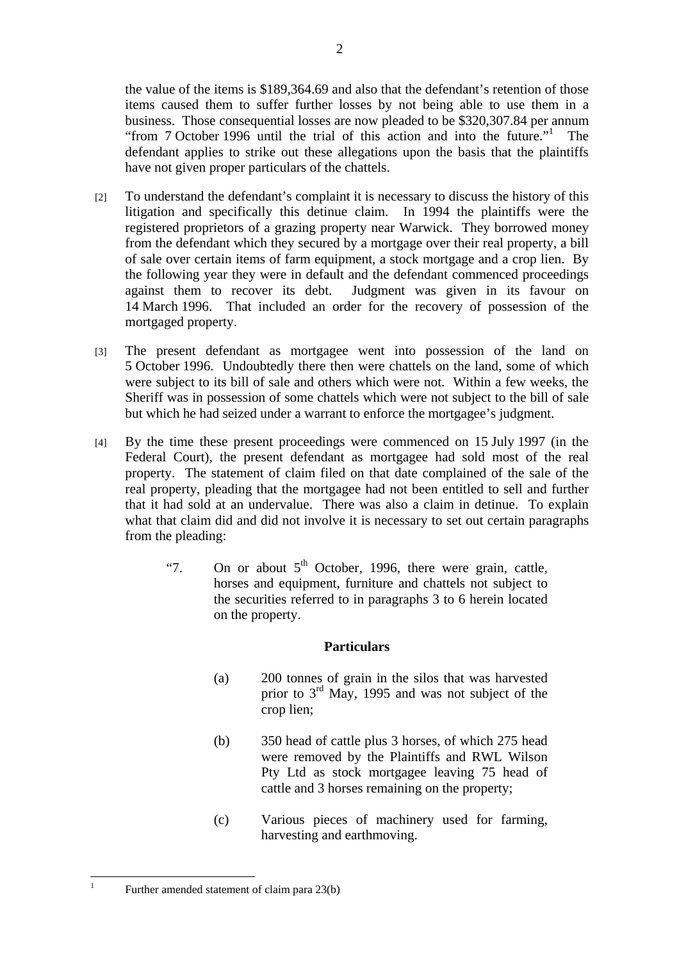the value of the items is \$189,364.69 and also that the defendant's retention of those items caused them to suffer further losses by not being able to use them in a business. Those consequential losses are now pleaded to be \$320,307.84 per annum "from 7 October 1996 until the trial of this action and into the future."<sup>1</sup> The defendant applies to strike out these allegations upon the basis that the plaintiffs have not given proper particulars of the chattels.

- [2] To understand the defendant's complaint it is necessary to discuss the history of this litigation and specifically this detinue claim. In 1994 the plaintiffs were the registered proprietors of a grazing property near Warwick. They borrowed money from the defendant which they secured by a mortgage over their real property, a bill of sale over certain items of farm equipment, a stock mortgage and a crop lien. By the following year they were in default and the defendant commenced proceedings against them to recover its debt. Judgment was given in its favour on 14 March 1996. That included an order for the recovery of possession of the mortgaged property.
- [3] The present defendant as mortgagee went into possession of the land on 5 October 1996. Undoubtedly there then were chattels on the land, some of which were subject to its bill of sale and others which were not. Within a few weeks, the Sheriff was in possession of some chattels which were not subject to the bill of sale but which he had seized under a warrant to enforce the mortgagee's judgment.
- [4] By the time these present proceedings were commenced on 15 July 1997 (in the Federal Court), the present defendant as mortgagee had sold most of the real property. The statement of claim filed on that date complained of the sale of the real property, pleading that the mortgagee had not been entitled to sell and further that it had sold at an undervalue. There was also a claim in detinue. To explain what that claim did and did not involve it is necessary to set out certain paragraphs from the pleading:
	- "7. On or about  $5<sup>th</sup>$  October, 1996, there were grain, cattle, horses and equipment, furniture and chattels not subject to the securities referred to in paragraphs 3 to 6 herein located on the property.

## **Particulars**

- (a) 200 tonnes of grain in the silos that was harvested prior to  $3<sup>rd</sup>$  May, 1995 and was not subject of the crop lien;
- (b) 350 head of cattle plus 3 horses, of which 275 head were removed by the Plaintiffs and RWL Wilson Pty Ltd as stock mortgagee leaving 75 head of cattle and 3 horses remaining on the property;
- (c) Various pieces of machinery used for farming, harvesting and earthmoving.

 $\frac{1}{1}$ 

Further amended statement of claim para 23(b)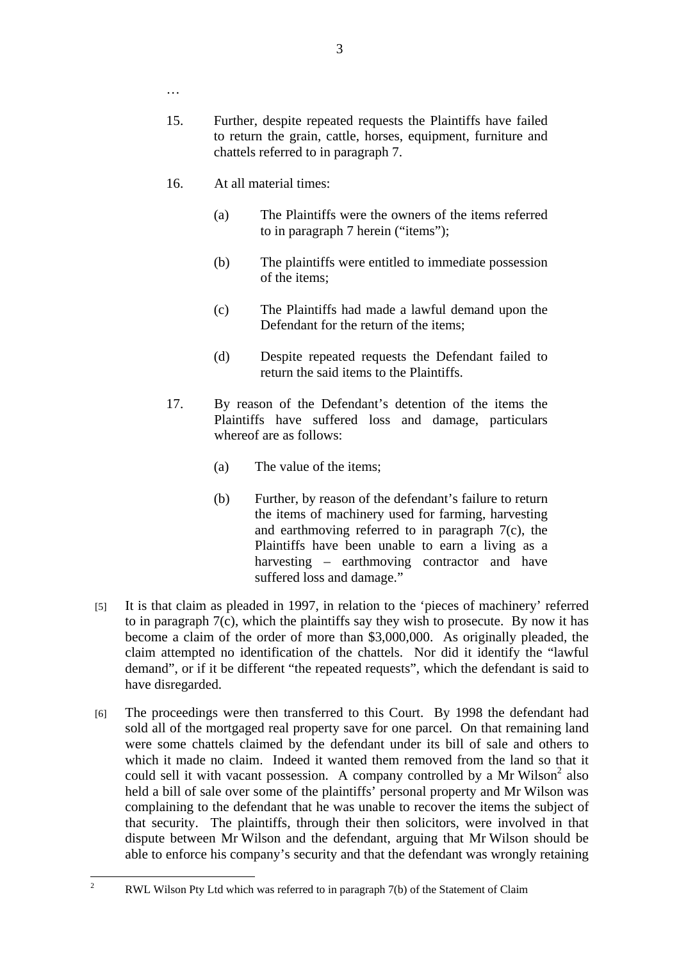3

- …
- 15. Further, despite repeated requests the Plaintiffs have failed to return the grain, cattle, horses, equipment, furniture and chattels referred to in paragraph 7.
- 16. At all material times:
	- (a) The Plaintiffs were the owners of the items referred to in paragraph 7 herein ("items");
	- (b) The plaintiffs were entitled to immediate possession of the items;
	- (c) The Plaintiffs had made a lawful demand upon the Defendant for the return of the items;
	- (d) Despite repeated requests the Defendant failed to return the said items to the Plaintiffs.
- 17. By reason of the Defendant's detention of the items the Plaintiffs have suffered loss and damage, particulars whereof are as follows:
	- (a) The value of the items;
	- (b) Further, by reason of the defendant's failure to return the items of machinery used for farming, harvesting and earthmoving referred to in paragraph 7(c), the Plaintiffs have been unable to earn a living as a harvesting – earthmoving contractor and have suffered loss and damage."
- [5] It is that claim as pleaded in 1997, in relation to the 'pieces of machinery' referred to in paragraph  $7(c)$ , which the plaintiffs say they wish to prosecute. By now it has become a claim of the order of more than \$3,000,000. As originally pleaded, the claim attempted no identification of the chattels. Nor did it identify the "lawful demand", or if it be different "the repeated requests", which the defendant is said to have disregarded.
- [6] The proceedings were then transferred to this Court. By 1998 the defendant had sold all of the mortgaged real property save for one parcel. On that remaining land were some chattels claimed by the defendant under its bill of sale and others to which it made no claim. Indeed it wanted them removed from the land so that it could sell it with vacant possession. A company controlled by a Mr Wilson<sup>2</sup> also held a bill of sale over some of the plaintiffs' personal property and Mr Wilson was complaining to the defendant that he was unable to recover the items the subject of that security. The plaintiffs, through their then solicitors, were involved in that dispute between Mr Wilson and the defendant, arguing that Mr Wilson should be able to enforce his company's security and that the defendant was wrongly retaining

 $\frac{1}{2}$ 

RWL Wilson Pty Ltd which was referred to in paragraph 7(b) of the Statement of Claim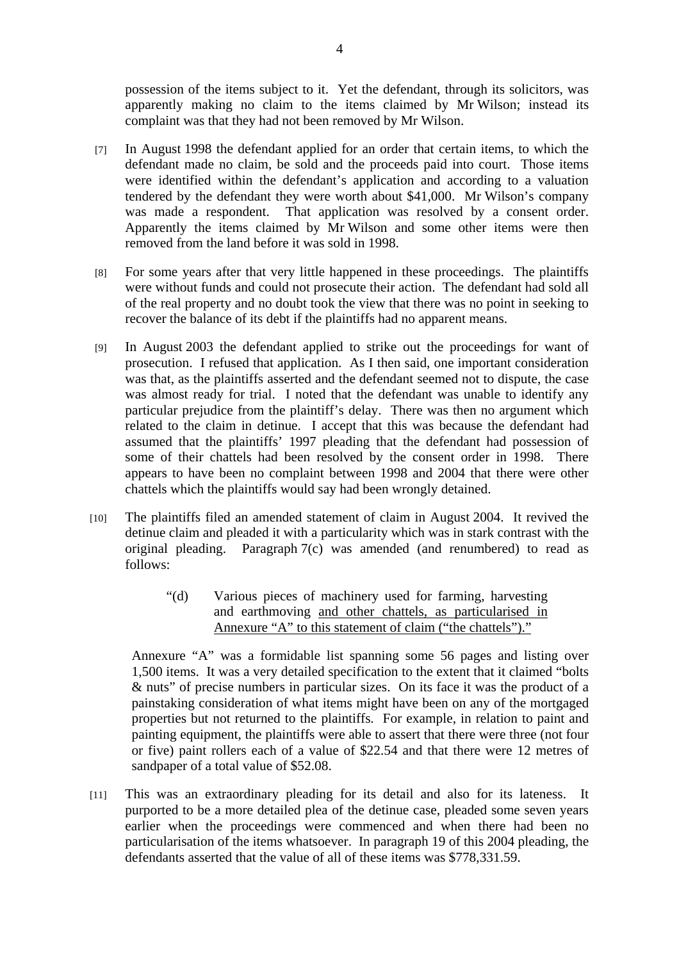possession of the items subject to it. Yet the defendant, through its solicitors, was apparently making no claim to the items claimed by Mr Wilson; instead its complaint was that they had not been removed by Mr Wilson.

- [7] In August 1998 the defendant applied for an order that certain items, to which the defendant made no claim, be sold and the proceeds paid into court. Those items were identified within the defendant's application and according to a valuation tendered by the defendant they were worth about \$41,000. Mr Wilson's company was made a respondent. That application was resolved by a consent order. Apparently the items claimed by Mr Wilson and some other items were then removed from the land before it was sold in 1998.
- [8] For some years after that very little happened in these proceedings. The plaintiffs were without funds and could not prosecute their action. The defendant had sold all of the real property and no doubt took the view that there was no point in seeking to recover the balance of its debt if the plaintiffs had no apparent means.
- [9] In August 2003 the defendant applied to strike out the proceedings for want of prosecution. I refused that application. As I then said, one important consideration was that, as the plaintiffs asserted and the defendant seemed not to dispute, the case was almost ready for trial. I noted that the defendant was unable to identify any particular prejudice from the plaintiff's delay. There was then no argument which related to the claim in detinue. I accept that this was because the defendant had assumed that the plaintiffs' 1997 pleading that the defendant had possession of some of their chattels had been resolved by the consent order in 1998. There appears to have been no complaint between 1998 and 2004 that there were other chattels which the plaintiffs would say had been wrongly detained.
- [10] The plaintiffs filed an amended statement of claim in August 2004. It revived the detinue claim and pleaded it with a particularity which was in stark contrast with the original pleading. Paragraph 7(c) was amended (and renumbered) to read as follows:
	- "(d) Various pieces of machinery used for farming, harvesting and earthmoving and other chattels, as particularised in Annexure "A" to this statement of claim ("the chattels")."

Annexure "A" was a formidable list spanning some 56 pages and listing over 1,500 items. It was a very detailed specification to the extent that it claimed "bolts & nuts" of precise numbers in particular sizes. On its face it was the product of a painstaking consideration of what items might have been on any of the mortgaged properties but not returned to the plaintiffs. For example, in relation to paint and painting equipment, the plaintiffs were able to assert that there were three (not four or five) paint rollers each of a value of \$22.54 and that there were 12 metres of sandpaper of a total value of \$52.08.

[11] This was an extraordinary pleading for its detail and also for its lateness. It purported to be a more detailed plea of the detinue case, pleaded some seven years earlier when the proceedings were commenced and when there had been no particularisation of the items whatsoever. In paragraph 19 of this 2004 pleading, the defendants asserted that the value of all of these items was \$778,331.59.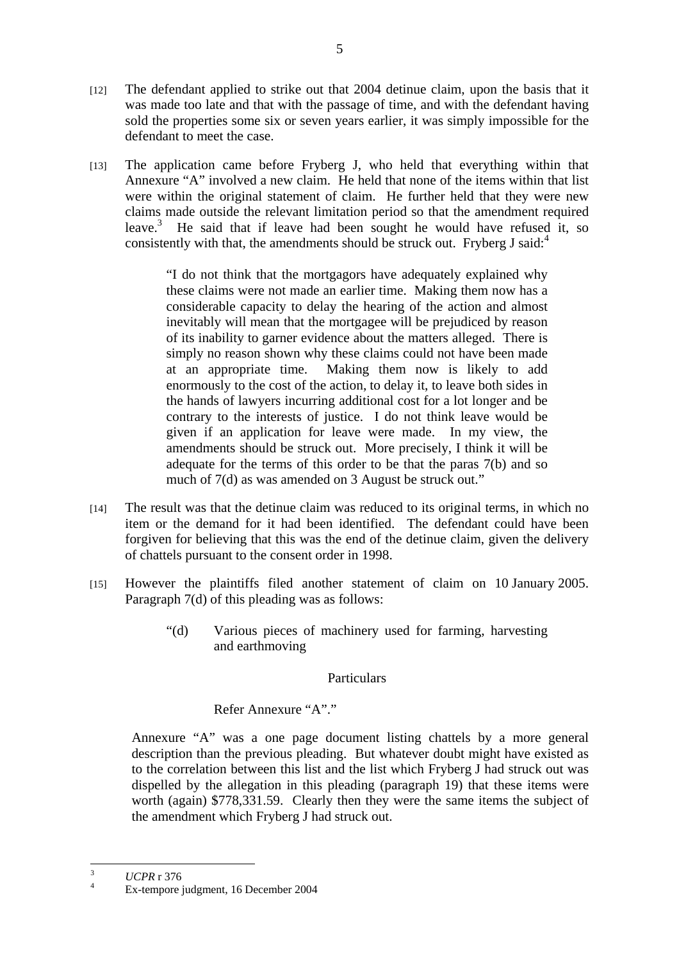- [12] The defendant applied to strike out that 2004 detinue claim, upon the basis that it was made too late and that with the passage of time, and with the defendant having sold the properties some six or seven years earlier, it was simply impossible for the defendant to meet the case.
- [13] The application came before Fryberg J, who held that everything within that Annexure "A" involved a new claim. He held that none of the items within that list were within the original statement of claim. He further held that they were new claims made outside the relevant limitation period so that the amendment required leave.<sup>3</sup> He said that if leave had been sought he would have refused it, so consistently with that, the amendments should be struck out. Fryberg J said: $4$

"I do not think that the mortgagors have adequately explained why these claims were not made an earlier time. Making them now has a considerable capacity to delay the hearing of the action and almost inevitably will mean that the mortgagee will be prejudiced by reason of its inability to garner evidence about the matters alleged. There is simply no reason shown why these claims could not have been made at an appropriate time. Making them now is likely to add enormously to the cost of the action, to delay it, to leave both sides in the hands of lawyers incurring additional cost for a lot longer and be contrary to the interests of justice. I do not think leave would be given if an application for leave were made. In my view, the amendments should be struck out. More precisely, I think it will be adequate for the terms of this order to be that the paras 7(b) and so much of 7(d) as was amended on 3 August be struck out."

- [14] The result was that the detinue claim was reduced to its original terms, in which no item or the demand for it had been identified. The defendant could have been forgiven for believing that this was the end of the detinue claim, given the delivery of chattels pursuant to the consent order in 1998.
- [15] However the plaintiffs filed another statement of claim on 10 January 2005. Paragraph 7(d) of this pleading was as follows:
	- "(d) Various pieces of machinery used for farming, harvesting and earthmoving

## Particulars

## Refer Annexure "A"."

Annexure "A" was a one page document listing chattels by a more general description than the previous pleading. But whatever doubt might have existed as to the correlation between this list and the list which Fryberg J had struck out was dispelled by the allegation in this pleading (paragraph 19) that these items were worth (again) \$778,331.59. Clearly then they were the same items the subject of the amendment which Fryberg J had struck out.

 3  $\frac{3}{4}$  *UCPR* r 376

Ex-tempore judgment, 16 December 2004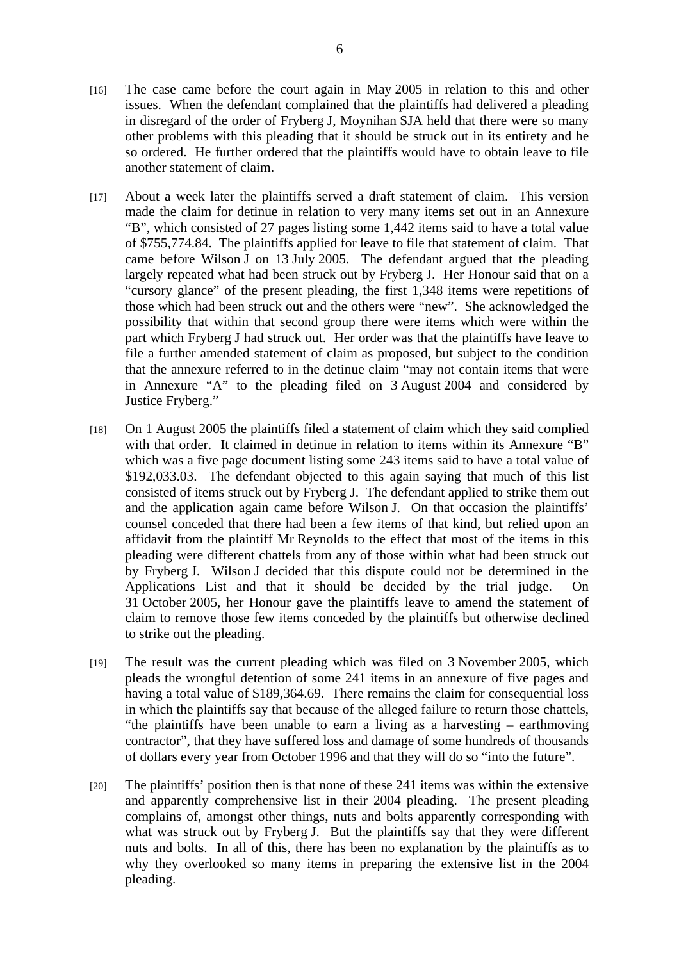- [16] The case came before the court again in May 2005 in relation to this and other issues. When the defendant complained that the plaintiffs had delivered a pleading in disregard of the order of Fryberg J, Moynihan SJA held that there were so many other problems with this pleading that it should be struck out in its entirety and he so ordered. He further ordered that the plaintiffs would have to obtain leave to file another statement of claim.
- [17] About a week later the plaintiffs served a draft statement of claim. This version made the claim for detinue in relation to very many items set out in an Annexure "B", which consisted of 27 pages listing some 1,442 items said to have a total value of \$755,774.84. The plaintiffs applied for leave to file that statement of claim. That came before Wilson J on 13 July 2005. The defendant argued that the pleading largely repeated what had been struck out by Fryberg J. Her Honour said that on a "cursory glance" of the present pleading, the first 1,348 items were repetitions of those which had been struck out and the others were "new". She acknowledged the possibility that within that second group there were items which were within the part which Fryberg J had struck out. Her order was that the plaintiffs have leave to file a further amended statement of claim as proposed, but subject to the condition that the annexure referred to in the detinue claim "may not contain items that were in Annexure "A" to the pleading filed on 3 August 2004 and considered by Justice Fryberg."
- [18] On 1 August 2005 the plaintiffs filed a statement of claim which they said complied with that order. It claimed in detinue in relation to items within its Annexure "B" which was a five page document listing some 243 items said to have a total value of \$192,033.03. The defendant objected to this again saying that much of this list consisted of items struck out by Fryberg J. The defendant applied to strike them out and the application again came before Wilson J. On that occasion the plaintiffs' counsel conceded that there had been a few items of that kind, but relied upon an affidavit from the plaintiff Mr Reynolds to the effect that most of the items in this pleading were different chattels from any of those within what had been struck out by Fryberg J. Wilson J decided that this dispute could not be determined in the Applications List and that it should be decided by the trial judge. On 31 October 2005, her Honour gave the plaintiffs leave to amend the statement of claim to remove those few items conceded by the plaintiffs but otherwise declined to strike out the pleading.
- [19] The result was the current pleading which was filed on 3 November 2005, which pleads the wrongful detention of some 241 items in an annexure of five pages and having a total value of \$189,364.69. There remains the claim for consequential loss in which the plaintiffs say that because of the alleged failure to return those chattels, "the plaintiffs have been unable to earn a living as a harvesting – earthmoving contractor", that they have suffered loss and damage of some hundreds of thousands of dollars every year from October 1996 and that they will do so "into the future".
- [20] The plaintiffs' position then is that none of these 241 items was within the extensive and apparently comprehensive list in their 2004 pleading. The present pleading complains of, amongst other things, nuts and bolts apparently corresponding with what was struck out by Fryberg J. But the plaintiffs say that they were different nuts and bolts. In all of this, there has been no explanation by the plaintiffs as to why they overlooked so many items in preparing the extensive list in the 2004 pleading.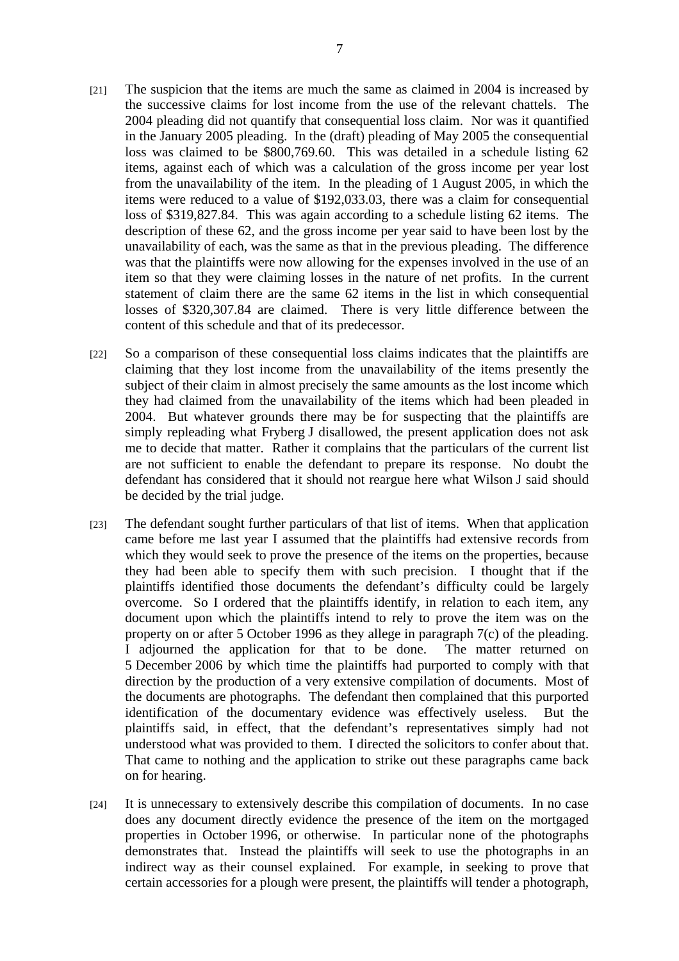- [21] The suspicion that the items are much the same as claimed in 2004 is increased by the successive claims for lost income from the use of the relevant chattels. The 2004 pleading did not quantify that consequential loss claim. Nor was it quantified in the January 2005 pleading. In the (draft) pleading of May 2005 the consequential loss was claimed to be \$800,769.60. This was detailed in a schedule listing 62 items, against each of which was a calculation of the gross income per year lost from the unavailability of the item. In the pleading of 1 August 2005, in which the items were reduced to a value of \$192,033.03, there was a claim for consequential loss of \$319,827.84. This was again according to a schedule listing 62 items. The description of these 62, and the gross income per year said to have been lost by the unavailability of each, was the same as that in the previous pleading. The difference was that the plaintiffs were now allowing for the expenses involved in the use of an item so that they were claiming losses in the nature of net profits. In the current statement of claim there are the same 62 items in the list in which consequential losses of \$320,307.84 are claimed. There is very little difference between the content of this schedule and that of its predecessor.
- [22] So a comparison of these consequential loss claims indicates that the plaintiffs are claiming that they lost income from the unavailability of the items presently the subject of their claim in almost precisely the same amounts as the lost income which they had claimed from the unavailability of the items which had been pleaded in 2004. But whatever grounds there may be for suspecting that the plaintiffs are simply repleading what Fryberg J disallowed, the present application does not ask me to decide that matter. Rather it complains that the particulars of the current list are not sufficient to enable the defendant to prepare its response. No doubt the defendant has considered that it should not reargue here what Wilson J said should be decided by the trial judge.
- [23] The defendant sought further particulars of that list of items. When that application came before me last year I assumed that the plaintiffs had extensive records from which they would seek to prove the presence of the items on the properties, because they had been able to specify them with such precision. I thought that if the plaintiffs identified those documents the defendant's difficulty could be largely overcome. So I ordered that the plaintiffs identify, in relation to each item, any document upon which the plaintiffs intend to rely to prove the item was on the property on or after 5 October 1996 as they allege in paragraph 7(c) of the pleading. I adjourned the application for that to be done. The matter returned on 5 December 2006 by which time the plaintiffs had purported to comply with that direction by the production of a very extensive compilation of documents. Most of the documents are photographs. The defendant then complained that this purported identification of the documentary evidence was effectively useless. But the plaintiffs said, in effect, that the defendant's representatives simply had not understood what was provided to them. I directed the solicitors to confer about that. That came to nothing and the application to strike out these paragraphs came back on for hearing.
- [24] It is unnecessary to extensively describe this compilation of documents. In no case does any document directly evidence the presence of the item on the mortgaged properties in October 1996, or otherwise. In particular none of the photographs demonstrates that. Instead the plaintiffs will seek to use the photographs in an indirect way as their counsel explained. For example, in seeking to prove that certain accessories for a plough were present, the plaintiffs will tender a photograph,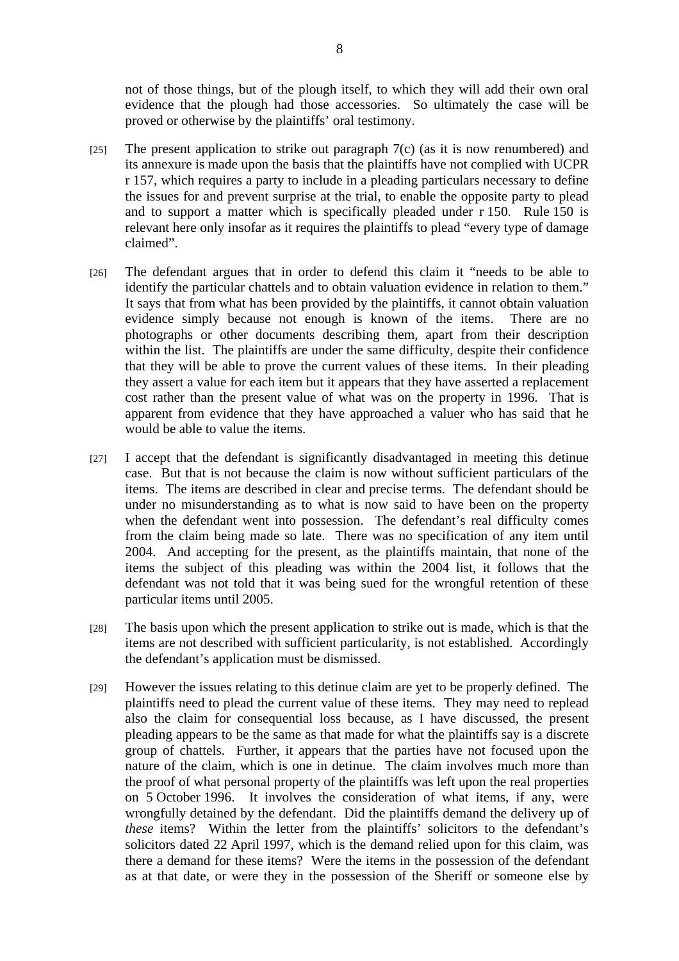not of those things, but of the plough itself, to which they will add their own oral evidence that the plough had those accessories. So ultimately the case will be proved or otherwise by the plaintiffs' oral testimony.

- [25] The present application to strike out paragraph  $7(c)$  (as it is now renumbered) and its annexure is made upon the basis that the plaintiffs have not complied with UCPR r 157, which requires a party to include in a pleading particulars necessary to define the issues for and prevent surprise at the trial, to enable the opposite party to plead and to support a matter which is specifically pleaded under r 150. Rule 150 is relevant here only insofar as it requires the plaintiffs to plead "every type of damage claimed".
- [26] The defendant argues that in order to defend this claim it "needs to be able to identify the particular chattels and to obtain valuation evidence in relation to them." It says that from what has been provided by the plaintiffs, it cannot obtain valuation evidence simply because not enough is known of the items. There are no photographs or other documents describing them, apart from their description within the list. The plaintiffs are under the same difficulty, despite their confidence that they will be able to prove the current values of these items. In their pleading they assert a value for each item but it appears that they have asserted a replacement cost rather than the present value of what was on the property in 1996. That is apparent from evidence that they have approached a valuer who has said that he would be able to value the items.
- [27] I accept that the defendant is significantly disadvantaged in meeting this detinue case. But that is not because the claim is now without sufficient particulars of the items. The items are described in clear and precise terms. The defendant should be under no misunderstanding as to what is now said to have been on the property when the defendant went into possession. The defendant's real difficulty comes from the claim being made so late. There was no specification of any item until 2004. And accepting for the present, as the plaintiffs maintain, that none of the items the subject of this pleading was within the 2004 list, it follows that the defendant was not told that it was being sued for the wrongful retention of these particular items until 2005.
- [28] The basis upon which the present application to strike out is made, which is that the items are not described with sufficient particularity, is not established. Accordingly the defendant's application must be dismissed.
- [29] However the issues relating to this detinue claim are yet to be properly defined. The plaintiffs need to plead the current value of these items. They may need to replead also the claim for consequential loss because, as I have discussed, the present pleading appears to be the same as that made for what the plaintiffs say is a discrete group of chattels. Further, it appears that the parties have not focused upon the nature of the claim, which is one in detinue. The claim involves much more than the proof of what personal property of the plaintiffs was left upon the real properties on 5 October 1996. It involves the consideration of what items, if any, were wrongfully detained by the defendant. Did the plaintiffs demand the delivery up of *these* items? Within the letter from the plaintiffs' solicitors to the defendant's solicitors dated 22 April 1997, which is the demand relied upon for this claim, was there a demand for these items? Were the items in the possession of the defendant as at that date, or were they in the possession of the Sheriff or someone else by